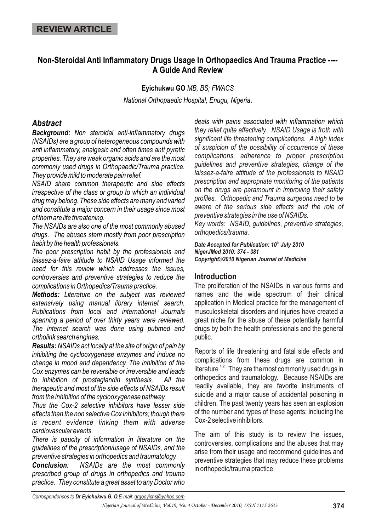# **Non-Steroidal Anti Inflammatory Drugs Usage In Orthopaedics And Trauma Practice ---- A Guide And Review**

**Eyichukwu GO** *MB, BS; FWACS*

*National Orthopaedic Hospital, Enugu, Nigeria***.**

## *Abstract*

*Background: Non steroidal anti-inflammatory drugs (NSAIDs) are a group of heterogeneous compounds with anti inflammatory, analgesic and often times anti pyretic properties. They are weak organic acids and are the most commonly used drugs in Orthopaedic/Trauma practice. They provide mild to moderate pain relief.*

*NSAID share common therapeutic and side effects irrespective of the class or group to which an individual drug may belong. These side effects are many and varied and constitute a major concern in their usage since most of them are life threatening.* 

*The NSAIDs are also one of the most commonly abused drugs. The abuses stem mostly from poor prescription habit by the health professionals.*

*The poor prescription habit by the professionals and laissez-a-faire attitude to NSAID Usage informed the need for this review which addresses the issues, controversies and preventive strategies to reduce the complications in Orthopedics/Trauma practice.*

*Methods: Literature on the subject was reviewed extensively using manual library internet search. Publications from local and international Journals spanning a period of over thirty years were reviewed. The internet search was done using pubmed and ortholink search engines.*

*Results: NSAIDs act locally at the site of origin of pain by inhibiting the cyclooxygenase enzymes and induce no change in mood and dependency. The inhibition of the Cox enzymes can be reversible or irreversible and leads to inhibition of prostaglandin synthesis. All the therapeutic and most of the side effects of NSAIDs result from the inhibition of the cyclooxygenase pathway.*

*Thus the Cox-2 selective inhibitors have lesser side effects than the non selective Cox inhibitors; though there is recent evidence linking them with adverse cardiovascular events.*

*There is paucity of information in literature on the guidelines of the prescription/usage of NSAIDs, and the preventive strategies in orthopedics and traumatology.*

*Conclusion: NSAIDs are the most commonly prescribed group of drugs in orthopedics and trauma practice. They constitute a great asset to any Doctor who* 

*deals with pains associated with inflammation which they relief quite effectively. NSAID Usage is froth with significant life threatening complications. A high index of suspicion of the possibility of occurrence of these complications, adherence to proper prescription guidelines and preventive strategies, change of the laissez-a-faire attitude of the professionals to NSAID prescription and appropriate monitoring of the patients on the drugs are paramount in improving their safety profiles. Orthopedic and Trauma surgeons need to be aware of the serious side effects and the role of preventive strategies in the use of NSAIDs.*

*Key words: NSAID, guidelines, preventive strategies, orthopedics/trauma.*

**Date Accepted for Publication: 10<sup>th</sup> July 2010** *NigerJMed 2010: 374 - 381 Copyright©2010 Nigerian Journal of Medicine*

#### **Introduction**

The proliferation of the NSAIDs in various forms and names and the wide spectrum of their clinical application in Medical practice for the management of musculoskeletal disorders and injuries have created a great niche for the abuse of these potentially harmful drugs by both the health professionals and the general public.

Reports of life threatening and fatal side effects and complications from these drugs are common in literature  $1, 2$ . They are the most commonly used drugs in orthopedics and traumatology. Because NSAIDs are readily available, they are favorite instruments of suicide and a major cause of accidental poisoning in children. The past twenty years has seen an explosion of the number and types of these agents; including the Cox-2 selective inhibitors.

The aim of this study is to review the issues, controversies, complications and the abuses that may arise from their usage and recommend guidelines and preventive strategies that may reduce these problems in orthopedic/trauma practice.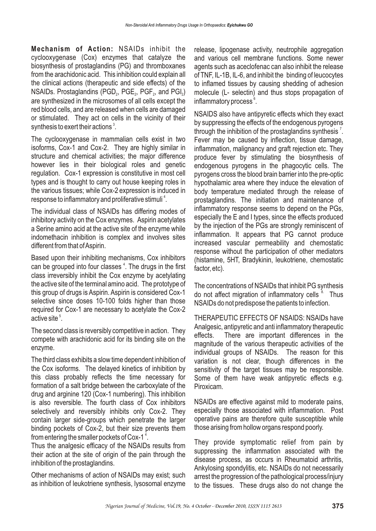**Mechanism of Action:** NSAIDs inhibit the cyclooxygenase (Cox) enzymes that catalyze the biosynthesis of prostaglandins (PG) and thromboxanes from the arachidonic acid. This inhibition could explain all the clinical actions (therapeutic and side effects) of the NSAIDs. Prostaglandins (PGD<sub>2</sub>, PGE<sub>2</sub>, PGF<sub>2</sub>, and PGI<sub>2</sub>) are synthesized in the microsomes of all cells except the red blood cells, and are released when cells are damaged or stimulated. They act on cells in the vicinity of their synthesis to exert their actions $^3$ .

The cyclooxygenase in mammalian cells exist in two isoforms, Cox-1 and Cox-2. They are highly similar in structure and chemical activities; the major difference however lies in their biological roles and genetic regulation. Cox-1 expression is constitutive in most cell types and is thought to carry out house keeping roles in the various tissues; while Cox-2 expression is induced in response to inflammatory and proliferative stimuli<sup>4</sup>.

The individual class of NSAIDs has differing modes of inhibitory activity on the Cox enzymes. Aspirin acetylates a Serine amino acid at the active site of the enzyme while indomethacin inhibition is complex and involves sites different from that of Aspirin.

Based upon their inhibiting mechanisms, Cox inhibitors can be grouped into four classes <sup>4</sup>. The drugs in the first class irreversibly inhibit the Cox enzyme by acetylating the active site of the terminal amino acid. The prototype of this group of drugs is Aspirin. Aspirin is considered Cox-1 selective since doses 10-100 folds higher than those required for Cox-1 are necessary to acetylate the Cox-2 active site $^5$ .

The second class is reversibly competitive in action. They compete with arachidonic acid for its binding site on the enzyme.

The third class exhibits a slow time dependent inhibition of the Cox isoforms. The delayed kinetics of inhibition by this class probably reflects the time necessary for formation of a salt bridge between the carboxylate of the drug and arginine 120 (Cox-1 numbering). This inhibition is also reversible. The fourth class of Cox inhibitors selectively and reversibly inhibits only Cox-2. They contain larger side-groups which penetrate the larger binding pockets of Cox-2, but their size prevents them from entering the smaller pockets of Cox-1 $4$ .

Thus the analgesic efficacy of the NSAIDs results from their action at the site of origin of the pain through the inhibition of the prostaglandins.

Other mechanisms of action of NSAIDs may exist; such as inhibition of leukotriene synthesis, lysosomal enzyme release, lipogenase activity, neutrophile aggregation and various cell membrane functions. Some newer agents such as aceclofenac can also inhibit the release of TNF, IL-1B, IL-6, and inhibit the binding of leucocytes to inflamed tissues by causing shedding of adhesion molecule (L- selectin) and thus stops propagation of inflammatory process<sup>6</sup>.

NSAIDS also have antipyretic effects which they exact by suppressing the effects of the endogenous pyrogens through the inhibition of the prostaglandins synthesis  $7$ . Fever may be caused by inflection, tissue damage, inflammation, malignancy and graft rejection etc. They produce fever by stimulating the biosynthesis of endogenous pyrogens in the phagocytic cells. The pyrogens cross the blood brain barrier into the pre-optic hypothalamic area where they induce the elevation of body temperature mediated through the release of prostaglandins. The initiation and maintenance of inflammatory response seems to depend on the PGs, especially the E and I types, since the effects produced by the injection of the PGs are strongly reminiscent of inflammation. It appears that PG cannot produce increased vascular permeability and chemostatic response without the participation of other mediators (histamine, 5HT, Bradykinin, leukotriene, chemostatic factor, etc).

The concentrations of NSAIDs that inhibit PG synthesis do not affect migration of inflammatory cells  $8^{\circ}$  Thus NSAIDs do not predispose the patients to infection.

THERAPEUTIC EFFECTS OF NSAIDS: NSAIDs have Analgesic, antipyretic and anti inflammatory therapeutic effects. There are important differences in the magnitude of the various therapeutic activities of the individual groups of NSAIDs. The reason for this variation is not clear, though differences in the sensitivity of the target tissues may be responsible. Some of them have weak antipyretic effects e.g. Piroxicam.

NSAIDs are effective against mild to moderate pains, especially those associated with inflammation. Post operative pains are therefore quite susceptible while those arising from hollow organs respond poorly.

They provide symptomatic relief from pain by suppressing the inflammation associated with the disease process, as occurs in Rheumatoid arthritis, Ankylosing spondylitis, etc. NSAIDs do not necessarily arrest the progression of the pathological process/injury to the tissues. These drugs also do not change the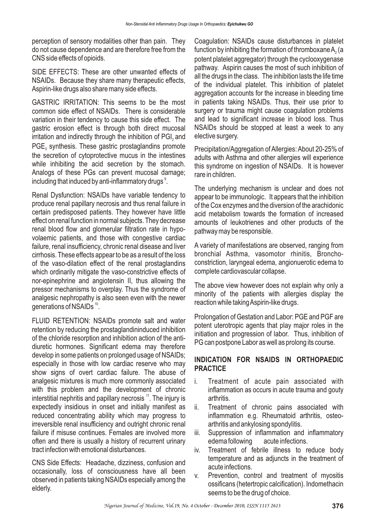perception of sensory modalities other than pain. They do not cause dependence and are therefore free from the CNS side effects of opioids.

SIDE EFFECTS: These are other unwanted effects of NSAIDs. Because they share many therapeutic effects, Aspirin-like drugs also share many side effects.

GASTRIC IRRITATION: This seems to be the most common side effect of NSAIDs. There is considerable variation in their tendency to cause this side effect. The gastric erosion effect is through both direct mucosal irritation and indirectly through the inhibition of PGI, and PGE, synthesis. These gastric prostaglandins promote the secretion of cytoprotective mucus in the intestines while inhibiting the acid secretion by the stomach. Analogs of these PGs can prevent mucosal damage; including that induced by anti-inflammatory drugs  $^{\circ}$ .

Renal Dysfunction: NSAIDs have variable tendency to produce renal papillary necrosis and thus renal failure in certain predisposed patients. They however have little effect on renal function in normal subjects. They decrease renal blood flow and glomerular filtration rate in hypovolaemic patients, and those with congestive cardiac failure, renal insufficiency, chronic renal disease and liver cirrhosis. These effects appear to be as a result of the loss of the vaso-dilation effect of the renal prostaglandins which ordinarily mitigate the vaso-constrictive effects of nor-epinephrine and angiotensin II, thus allowing the pressor mechanisms to overplay. Thus the syndrome of analgesic nephropathy is also seen even with the newer generations of NSAIDs<sup>10</sup>.

FLUID RETENTION: NSAIDs promote salt and water retention by reducing the prostaglandininduced inhibition of the chloride resorption and inhibition action of the antidiuretic hormones. Significant edema may therefore develop in some patients on prolonged usage of NSAIDs; especially in those with low cardiac reserve who may show signs of overt cardiac failure. The abuse of analgesic mixtures is much more commonly associated with this problem and the development of chronic interstitial nephritis and papillary necrosis  $<sup>11</sup>$ . The injury is</sup> expectedly insidious in onset and initially manifest as reduced concentrating ability which may progress to irreversible renal insufficiency and outright chronic renal failure if misuse continues. Females are involved more often and there is usually a history of recurrent urinary tract infection with emotional disturbances.

CNS Side Effects: Headache, dizziness, confusion and occasionally, loss of consciousness have all been observed in patients taking NSAIDs especially among the elderly.

Coagulation: NSAIDs cause disturbances in platelet function by inhibiting the formation of thromboxane  $A_2$  (a potent platelet aggregator) through the cyclooxygenase pathway. Aspirin causes the most of such inhibition of all the drugs in the class. The inhibition lasts the life time of the individual platelet. This inhibition of platelet aggregation accounts for the increase in bleeding time in patients taking NSAIDs. Thus, their use prior to surgery or trauma might cause coagulation problems and lead to significant increase in blood loss. Thus NSAIDs should be stopped at least a week to any elective surgery.

Precipitation/Aggregation of Allergies: About 20-25% of adults with Asthma and other allergies will experience this syndrome on ingestion of NSAIDs. It is however rare in children.

The underlying mechanism is unclear and does not appear to be immunologic. It appears that the inhibition of the Cox enzymes and the diversion of the arachidonic acid metabolism towards the formation of increased amounts of leukotrienes and other products of the pathway may be responsible.

A variety of manifestations are observed, ranging from bronchial Asthma, vasomotor rhinitis, Bronchoconstriction, laryngeal edema, angionuerotic edema to complete cardiovascular collapse.

The above view however does not explain why only a minority of the patients with allergies display the reaction while taking Aspirin-like drugs.

Prolongation of Gestation and Labor: PGE and PGF are potent uterotropic agents that play major roles in the initiation and progression of labor. Thus, inhibition of PG can postpone Labor as well as prolong its course.

#### **INDICATION FOR NSAIDS IN ORTHOPAEDIC PRACTICE**

- i. Treatment of acute pain associated with inflammation as occurs in acute trauma and gouty arthritis.
- ii. Treatment of chronic pains associated with inflammation e.g. Rheumatoid arthritis, osteoarthritis and ankylosing spondylitis.
- iii. Suppression of inflammation and inflammatory edema following acute infections.
- iv. Treatment of febrile illness to reduce body temperature and as adjuncts in the treatment of acute infections.
- v. Prevention, control and treatment of myositis ossificans (hetertropic calcification). Indomethacin seems to be the drug of choice.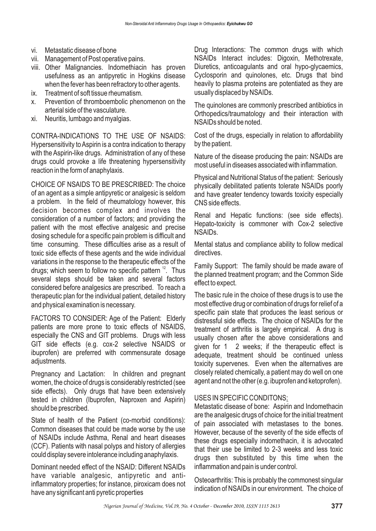- vi. Metastatic disease of bone
- vii. Management of Post operative pains.
- viii. Other Malignancies. Indomethiacin has proven usefulness as an antipyretic in Hogkins disease when the fever has been refractory to other agents.
- ix. Treatment of soft tissue rheumatism.
- x. Prevention of thromboembolic phenomenon on the arterial side of the vasculature.
- xi. Neuritis, lumbago and myalgias.

CONTRA-INDICATIONS TO THE USE OF NSAIDS: Hypersensitivity to Aspirin is a contra indication to therapy with the Aspirin-like drugs. Administration of any of these drugs could provoke a life threatening hypersensitivity reaction in the form of anaphylaxis.

CHOICE OF NSAIDS TO BE PRESCRIBED: The choice of an agent as a simple antipyretic or analgesic is seldom a problem. In the field of rheumatology however, this decision becomes complex and involves the consideration of a number of factors; and providing the patient with the most effective analgesic and precise dosing schedule for a specific pain problem is difficult and time consuming. These difficulties arise as a result of toxic side effects of these agents and the wide individual variations in the response to the therapeutic effects of the drugs; which seem to follow no specific pattern  $12$ . Thus several steps should be taken and several factors considered before analgesics are prescribed. To reach a therapeutic plan for the individual patient, detailed history and physical examination is necessary.

FACTORS TO CONSIDER: Age of the Patient: Elderly patients are more prone to toxic effects of NSAIDS, especially the CNS and GIT problems. Drugs with less GIT side effects (e.g. cox-2 selective NSAIDS or ibuprofen) are preferred with commensurate dosage adjustments.

Pregnancy and Lactation: In children and pregnant women, the choice of drugs is considerably restricted (see side effects). Only drugs that have been extensively tested in children (Ibuprofen, Naproxen and Aspirin) should be prescribed.

State of health of the Patient (co-morbid conditions): Common diseases that could be made worse by the use of NSAIDs include Asthma, Renal and heart diseases (CCF). Patients with nasal polyps and history of allergies could display severe intolerance including anaphylaxis.

Dominant needed effect of the NSAID: Different NSAIDs have variable analgesic, antipyretic and antiinflammatory properties; for instance, piroxicam does not have any significant anti pyretic properties

Drug Interactions: The common drugs with which NSAIDs Interact includes: Digoxin, Methotrexate, Diuretics, anticoagulants and oral hypo-glycaemics, Cyclosporin and quinolones, etc. Drugs that bind heavily to plasma proteins are potentiated as they are usually displaced by NSAIDs.

The quinolones are commonly prescribed antibiotics in Orthopedics/traumatology and their interaction with NSAIDs should be noted.

Cost of the drugs, especially in relation to affordability by the patient.

Nature of the disease producing the pain: NSAIDs are most useful in diseases associated with inflammation.

Physical and Nutritional Status of the patient: Seriously physically debilitated patients tolerate NSAIDs poorly and have greater tendency towards toxicity especially CNS side effects.

Renal and Hepatic functions: (see side effects). Hepato-toxicity is commoner with Cox-2 selective NSAIDs.

Mental status and compliance ability to follow medical directives.

Family Support: The family should be made aware of the planned treatment program; and the Common Side effect to expect.

The basic rule in the choice of these drugs is to use the most effective drug or combination of drugs for relief of a specific pain state that produces the least serious or distressful side effects. The choice of NSAIDs for the treatment of arthritis is largely empirical. A drug is usually chosen after the above considerations and given for 1 2 weeks; if the therapeutic effect is adequate, treatment should be continued unless toxicity supervenes. Even when the alternatives are closely related chemically, a patient may do well on one agent and not the other (e.g. ibuprofen and ketoprofen).

#### USES IN SPECIFIC CONDITONS:

Metastatic disease of bone: Aspirin and Indomethacin are the analgesic drugs of choice for the initial treatment of pain associated with metastases to the bones. However, because of the severity of the side effects of these drugs especially indomethacin, it is advocated that their use be limited to 2-3 weeks and less toxic drugs then substituted by this time when the inflammation and pain is under control.

Osteoarthritis: This is probably the commonest singular indication of NSAIDs in our environment. The choice of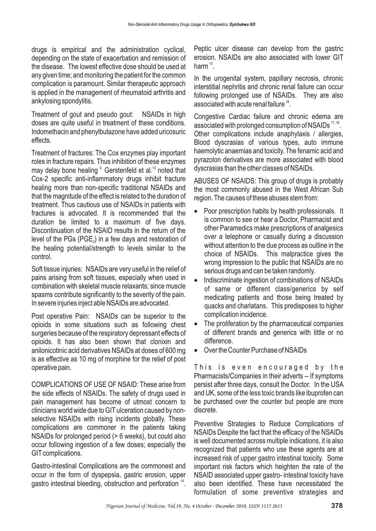drugs is empirical and the administration cyclical, depending on the state of exacerbation and remission of the disease. The lowest effective dose should be used at any given time; and monitoring the patient for the common complication is paramount. Similar therapeutic approach is applied in the management of rheumatoid arthritis and ankylosing spondylitis.

Treatment of gout and pseudo gout: NSAIDs in high doses are quite useful in treatment of these conditions. Indomethacin and phenylbutazone have added uricosuric effects.

Treatment of fractures: The Cox enzymes play important roles in fracture repairs. Thus inhibition of these enzymes may delay bone healing  $5.$  Gerstenfeld et al.<sup>13</sup> noted that Cox-2 specific anti-inflammatory drugs inhibit fracture healing more than non-specific traditional NSAIDs and that the magnitude of the effect is related to the duration of treatment. Thus cautious use of NSAIDs in patients with fractures is advocated. It is recommended that the duration be limited to a maximum of five days. Discontinuation of the NSAID results in the return of the level of the PGs (PGE $_2$ ) in a few days and restoration of the healing potential/strength to levels similar to the control.

Soft tissue injuries: NSAIDs are very useful in the relief of pains arising from soft tissues, especially when used in combination with skeletal muscle relaxants; since muscle spasms contribute significantly to the severity of the pain. In severe injuries inject able NSAIDs are advocated.

Post operative Pain: NSAIDs can be superior to the opioids in some situations such as following chest surgeries because of the respiratory depressant effects of opioids. It has also been shown that clonixin and anilonicotinic acid derivatives NSAIDs at doses of 600 mg is as effective as 10 mg of morphine for the relief of post operative pain.

COMPLICATIONS OF USE OF NSAID: These arise from the side effects of NSAIDs. The safety of drugs used in pain management has become of utmost concern to clinicians world wide due to GIT ulceration caused by nonselective NSAIDs with rising incidents globally. These complications are commoner in the patients taking NSAIDs for prolonged period (> 6 weeks), but could also occur following ingestion of a few doses; especially the GIT complications.

Gastro-intestinal Complications are the commonest and occur in the form of dyspepsia, gastric erosion, upper gastro intestinal bleeding, obstruction and perforation  $14$ .

Peptic ulcer disease can develop from the gastric erosion. NSAIDs are also associated with lower GIT harm  $15$ 

In the urogenital system, papillary necrosis, chronic interstitial nephritis and chronic renal failure can occur following prolonged use of NSAIDs. They are also associated with acute renal failure  $^{16}$ .

Congestive Cardiac failure and chronic edema are associated with prolonged consumption of NSAIDs  $17, 18$ . Other complications include anaphylaxis / allergies, Blood dyscrasias of various types, auto immune haemolytic anaemias and toxicity. The fenamic acid and pyrazolon derivatives are more associated with blood dyscrasias than the other classes of NSAIDs.

ABUSES OF NSAIDS: This group of drugs is probably the most commonly abused in the West African Sub region. The causes of these abuses stem from:

Poor prescription habits by health professionals. It is common to see or hear a Doctor, Pharmacist and other Paramedics make prescriptions of analgesics over a telephone or casually during a discussion without attention to the due process as outline in the choice of NSAIDs. This malpractice gives the wrong impression to the public that NSAIDs are no serious drugs and can be taken randomly.

Indiscriminate ingestion of combinations of NSAIDs of same or different class/generics by self medicating patients and those being treated by quacks and charlatans. This predisposes to higher complication incidence.

The proliferation by the pharmaceutical companies of different brands and generics with little or no difference.

Over the Counter Purchase of NSAIDs

This is even encouraged by the Pharmacists/Companies in their adverts -- If symptoms persist after three days, consult the Doctor. In the USA and UK, some of the less toxic brands like ibuprofen can be purchased over the counter but people are more discrete.

Preventive Strategies to Reduce Complications of NSAIDs Despite the fact that the efficacy of the NSAIDs is well documented across multiple indications, it is also recognized that patients who use these agents are at increased risk of upper gastro intestinal toxicity. Some important risk factors which heighten the rate of the NSAID associated upper gastro- intestinal toxicity have also been identified. These have necessitated the formulation of some preventive strategies and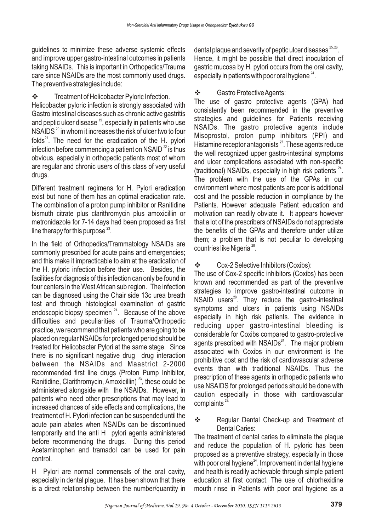guidelines to minimize these adverse systemic effects and improve upper gastro-intestinal outcomes in patients taking NSAIDs. This is important in Orthopedics/Trauma care since NSAIDs are the most commonly used drugs. The preventive strategies include:

v Treatment of Helicobacter Pyloric Infection.

Helicobacter pyloric infection is strongly associated with Gastro intestinal diseases such as chronic active gastritis and peptic ulcer disease<sup>19</sup>, especially in patients who use NSAIDS<sup>20</sup> in whom it increases the risk of ulcer two to four folds $^{21}$ . The need for the eradication of the H. pylori infection before commencing a patient on NSAID $^{22}$  is thus obvious, especially in orthopedic patients most of whom are regular and chronic users of this class of very useful drugs.

Different treatment regimens for H. Pylori eradication exist but none of them has an optimal eradication rate. The combination of a proton pump inhibitor or Ranitidine bismuth citrate plus clarithromycin plus amoxicillin or metronidazole for 7-14 days had been proposed as first line therapy for this purpose  $^{23}$ .

In the field of Orthopedics/Trammatology NSAIDs are commonly prescribed for acute pains and emergencies; and this make it impracticable to aim at the eradication of the H. pyloric infection before their use. Besides, the facilities for diagnosis of this infection can only be found in four centers in the West African sub region. The infection can be diagnosed using the Chair side 13c urea breath test and through histological examination of gastric endoscopic biopsy specimen  $24$ . Because of the above difficulties and peculiarities of Trauma/Orthopedic practice, we recommend that patients who are going to be placed on regular NSAIDs for prolonged period should be treated for Helicobacter Pylori at the same stage. Since there is no significant negative drug drug interaction between the NSAIDs and Maastrict 2-2000 recommended first line drugs (Proton Pump Inhibitor, Ranitidine, Clarithromycin, Amoxicillin)<sup> $^{23}$ </sup>, these could be administered alongside with the NSAIDs. However, in patients who need other prescriptions that may lead to increased chances of side effects and complications, the treatment of H. Pylori infection can be suspended until the acute pain abates when NSAIDs can be discontinued temporarily and the anti H pylori agents administered before recommencing the drugs. During this period Acetaminophen and tramadol can be used for pain control.

H Pylori are normal commensals of the oral cavity, especially in dental plague. It has been shown that there is a direct relationship between the number/quantity in dental plaque and severity of peptic ulcer diseases  $25,26$ . Hence, it might be possible that direct inoculation of gastric mucosa by H. pylori occurs from the oral cavity, especially in patients with poor oral hygiene  $24$ .

### v Gastro Protective Agents:

The use of gastro protective agents (GPA) had consistently been recommended in the preventive strategies and guidelines for Patients receiving NSAIDs. The gastro protective agents include Misoprostol, proton pump inhibitors (PPI) and Histamine receptor antagonists<sup>27</sup>. These agents reduce the well recognized upper gastro-intestinal symptoms and ulcer complications associated with non-specific (traditional) NSAIDs, especially in high risk patients  $24$ . The problem with the use of the GPAs in our environment where most patients are poor is additional cost and the possible reduction in compliance by the Patients. However adequate Patient education and motivation can readily obviate it. It appears however that a lot of the prescribers of NSAIDs do not appreciate the benefits of the GPAs and therefore under utilize them; a problem that is not peculiar to developing countries like Nigeria  $^{28}$ .

v Cox-2 Selective Inhibitors (Coxibs):

The use of Cox-2 specific inhibitors (Coxibs) has been known and recommended as part of the preventive strategies to improve gastro-intestinal outcome in NSAID users $^{28}$ . They reduce the gastro-intestinal symptoms and ulcers in patients using NSAIDs especially in high risk patients. The evidence in reducing upper gastro-intestinal bleeding is considerable for Coxibs compared to gastro-protective agents prescribed with NSAIDs $^{24}$ . The major problem associated with Coxibs in our environment is the prohibitive cost and the risk of cardiovascular adverse events than with traditional NSAIDs. Thus the prescription of these agents in orthopedic patients who use NSAIDS for prolonged periods should be done with caution especially in those with cardiovascular complaints<sup>29.</sup>

v Regular Dental Check-up and Treatment of Dental Caries:

The treatment of dental caries to eliminate the plaque and reduce the population of H. pyloric has been proposed as a preventive strategy, especially in those with poor oral hygiene $^{24}$ . Improvement in dental hygiene and health is readily achievable through simple patient education at first contact. The use of chlorhexidine mouth rinse in Patients with poor oral hygiene as a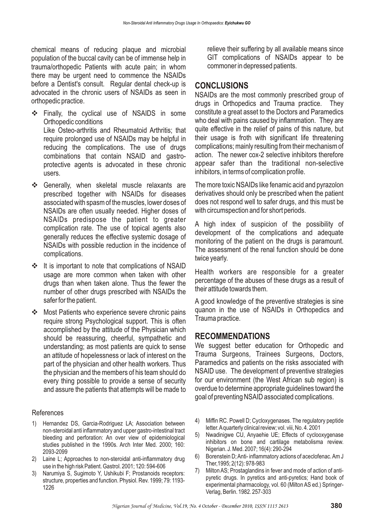chemical means of reducing plaque and microbial population of the buccal cavity can be of immense help in trauma/orthopedic Patients with acute pain; in whom there may be urgent need to commence the NSAIDs before a Dentist's consult. Regular dental check-up is advocated in the chronic users of NSAIDs as seen in orthopedic practice.

- v Finally, the cyclical use of NSAIDS in some Orthopedic conditions Like Osteo-arthritis and Rheumatoid Arthritis; that require prolonged use of NSAIDs may be helpful in reducing the complications. The use of drugs combinations that contain NSAID and gastroprotective agents is advocated in these chronic users.
- ❖ Generally, when skeletal muscle relaxants are prescribed together with NSAIDs for diseases associated with spasm of the muscles, lower doses of NSAIDs are often usually needed. Higher doses of NSAIDs predispose the patient to greater complication rate. The use of topical agents also generally reduces the effective systemic dosage of NSAIDs with possible reduction in the incidence of complications.
- $\div$  It is important to note that complications of NSAID usage are more common when taken with other drugs than when taken alone. Thus the fewer the number of other drugs prescribed with NSAIDs the safer for the patient.
- ❖ Most Patients who experience severe chronic pains require strong Psychological support. This is often accomplished by the attitude of the Physician which should be reassuring, cheerful, sympathetic and understanding; as most patients are quick to sense an attitude of hopelessness or lack of interest on the part of the physician and other health workers. Thus the physician and the members of his team should do every thing possible to provide a sense of security and assure the patients that attempts will be made to

#### References

- 1) Hernandez DS, Garcia-Rodriguez LA; Association between non-steroidal anti inflammatory and upper gastro-intestinal tract bleeding and perforation: An over view of epidemiological studies published in the 1990s. Arch Inter Med. 2000; 160: 2093-2099
- 2) Laine L; Approaches to non-steroidal anti-inflammatory drug use in the high risk Patient. Gastrol. 2001; 120: 594-606
- 3) Narumiya S, Sugimoto Y, Ushikubi F; Prostanoids receptors: structure, properties and function. Physiol. Rev. 1999; 79: 1193- 1226

relieve their suffering by all available means since GIT complications of NSAIDs appear to be commoner in depressed patients.

### **CONCLUSIONS**

NSAIDs are the most commonly prescribed group of drugs in Orthopedics and Trauma practice. They constitute a great asset to the Doctors and Paramedics who deal with pains caused by inflammation. They are quite effective in the relief of pains of this nature, but their usage is froth with significant life threatening complications; mainly resulting from their mechanism of action. The newer cox-2 selective inhibitors therefore appear safer than the traditional non-selective inhibitors, in terms of complication profile.

The more toxic NSAIDs like fenamic acid and pyrazolon derivatives should only be prescribed when the patient does not respond well to safer drugs, and this must be with circumspection and for short periods.

A high index of suspicion of the possibility of development of the complications and adequate monitoring of the patient on the drugs is paramount. The assessment of the renal function should be done twice yearly.

Health workers are responsible for a greater percentage of the abuses of these drugs as a result of their attitude towards them.

A good knowledge of the preventive strategies is sine quanon in the use of NSAIDs in Orthopedics and Trauma practice.

#### **RECOMMENDATIONS**

We suggest better education for Orthopedic and Trauma Surgeons, Trainees Surgeons, Doctors, Paramedics and patients on the risks associated with NSAID use. The development of preventive strategies for our environment (the West African sub region) is overdue to determine appropriate guidelines toward the goal of preventing NSAID associated complications.

- 4) Miffin RC. Powell D; Cycloxygenases. The regulatory peptide letter. A quarterly clinical review; vol. viii, No. 4. 2001
- 5) Nwadinigwe CU, Anyaehie UE; Effects of cyclooxygenase inhibitors on bone and cartilage metabolisma review. Nigerian. J. Med. 2007; 16(4): 290-294
- 6) Borenstein D; Anti- inflammatory actions of aceclofenac. Am J Ther,1995; 2(12): 978-983
- 7) Milton AS; Prostaglandins in fever and mode of action of antipyretic drugs. In pyretics and anti-pyretics; Hand book of experimental pharmacology, vol. 60 (Milton AS ed.) Springer-Verlag, Berlin. 1982. 257-303